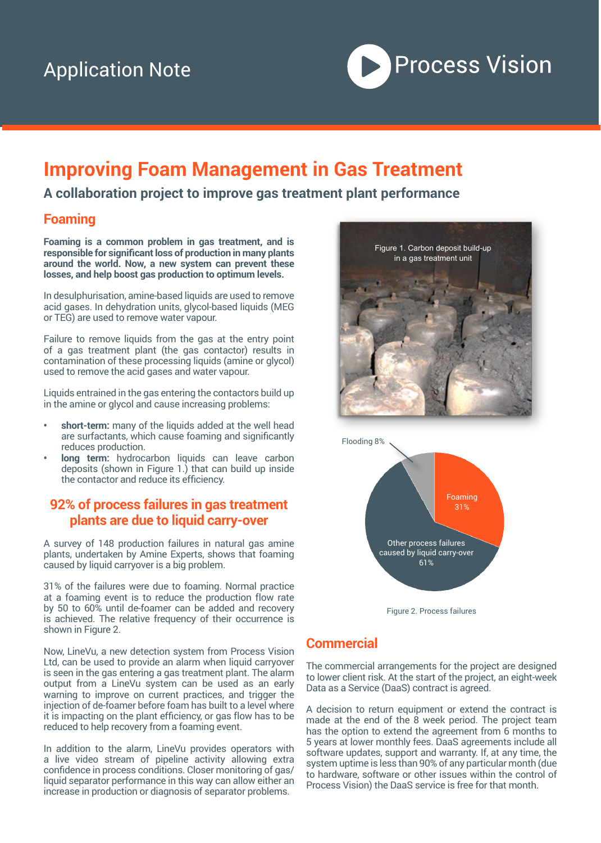

# **Improving Foam Management in Gas Treatment**

### **A collaboration project to improve gas treatment plant performance**

#### **Foaming**

**Foaming is a common problem in gas treatment, and is responsible for significant loss of production in many plants around the world. Now, a new system can prevent these losses, and help boost gas production to optimum levels.** 

In desulphurisation, amine-based liquids are used to remove acid gases. In dehydration units, glycol-based liquids (MEG or TEG) are used to remove water vapour.

Failure to remove liquids from the gas at the entry point of a gas treatment plant (the gas contactor) results in contamination of these processing liquids (amine or glycol) used to remove the acid gases and water vapour.

Liquids entrained in the gas entering the contactors build up in the amine or glycol and cause increasing problems:

- **• short-term:** many of the liquids added at the well head are surfactants, which cause foaming and significantly reduces production.
- **long term:** hydrocarbon liquids can leave carbon deposits (shown in Figure 1.) that can build up inside the contactor and reduce its efficiency.

#### **92% of process failures in gas treatment plants are due to liquid carry-over**

A survey of 148 production failures in natural gas amine plants, undertaken by Amine Experts, shows that foaming caused by liquid carryover is a big problem.

31% of the failures were due to foaming. Normal practice at a foaming event is to reduce the production flow rate by 50 to 60% until de-foamer can be added and recovery is achieved. The relative frequency of their occurrence is shown in Figure 2.

Now, LineVu, a new detection system from Process Vision Ltd, can be used to provide an alarm when liquid carryover is seen in the gas entering a gas treatment plant. The alarm output from a LineVu system can be used as an early warning to improve on current practices, and trigger the injection of de-foamer before foam has built to a level where it is impacting on the plant efficiency, or gas flow has to be reduced to help recovery from a foaming event.

In addition to the alarm, LineVu provides operators with a live video stream of pipeline activity allowing extra confidence in process conditions. Closer monitoring of gas/ liquid separator performance in this way can allow either an increase in production or diagnosis of separator problems.





Figure 2. Process failures

### **Commercial**

The commercial arrangements for the project are designed to lower client risk. At the start of the project, an eight-week Data as a Service (DaaS) contract is agreed.

A decision to return equipment or extend the contract is made at the end of the 8 week period. The project team has the option to extend the agreement from 6 months to 5 years at lower monthly fees. DaaS agreements include all software updates, support and warranty. If, at any time, the system uptime is less than 90% of any particular month (due to hardware, software or other issues within the control of Process Vision) the DaaS service is free for that month.